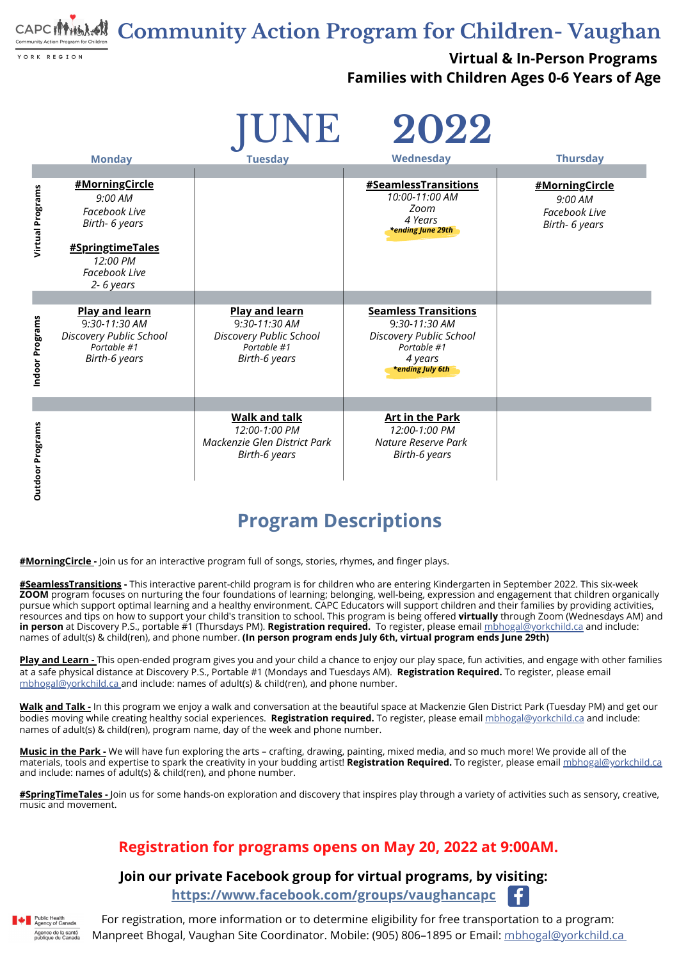**Community Action Program for Children- Vaughan**

YORK REGION

#### **Virtual & In-Person Programs Families with Children Ages 0-6 Years of Age**

For registration, more information or to determine eligibility for free transportation to a program: Manpreet Bhogal, Vaughan Site Coordinator. Mobile: (905) 806–1895 or Email: [mbhogal@yorkchild.ca](mailto:mbhogal@yorkchild.ca)

Æ.

#### **Join our private Facebook group for virtual programs, by visiting:**

**<https://www.facebook.com/groups/vaughancapc>**



#### **Registration for programs opens on May 20, 2022 at 9:00AM.**

#### **Program Descriptions**

**[#](https://www.facebook.com/groups/vaughancapc)MorningCircle -** Join us for an [interactive](https://www.facebook.com/hashtag/breakfaststorytime?__gid__=2724589697775491) program full of songs, stories, rhymes, and finger plays.

**[#SeamlessTransitions](mailto:mbhogal@yorkchild.ca) -** This interactive parent-child program is for children who are entering [Kindergarten](https://www.facebook.com/groups/vaughancapc) in September 2022. This six-week **ZOOM** program focuses on nurturing the four foundations of learning; belonging, well-being, expression and engagement that children organically pursue which support optimal learning and a healthy [environment.](https://www.facebook.com/groups/vaughancapc) CAPC Educators will support children and their families by providing activities, resources and tips on how to support your child's transition to school. This prog[ra](https://www.facebook.com/groups/vaughancapc)m is being offered **virtually** through Zoom (Wednesdays AM) and **in person** at Discovery P.S., portable #1 (Thursdays PM). **[Registration](https://www.facebook.com/groups/vaughancapc) required.** To [register,](https://www.facebook.com/groups/vaughancapc) please email [mbhogal@yorkchild.c](mailto:mbhogal@yorkchild.ca)[a](https://www.facebook.com/groups/vaughancapc) and include: names of adult(s) & child(ren), and phone number. **(In person program ends July 6th, virtual program ends June 29th)**

**Play and [Learn](mailto:mbhogal@yorkchild.ca) -** This open-ended program gives you and your child a chance to enjoy our play space, fun activities, and engage with other families at a safe physical distance at Discovery P.S., Portable #1 (Mondays and Tuesdays AM). **[R](https://www.facebook.com/hashtag/MotherEarthMonday/?__gid__=375811973311481)egistration Required.** To register, please email [mbhogal@yorkchild.ca](mailto:mbhogal@yorkchild.ca) and include: names of adult(s) & child(ren), and phone number.

|                                          |                                                                                                                                                                          | IUNE                                                                                          | 2022                                                                                                                        |                                                                     |
|------------------------------------------|--------------------------------------------------------------------------------------------------------------------------------------------------------------------------|-----------------------------------------------------------------------------------------------|-----------------------------------------------------------------------------------------------------------------------------|---------------------------------------------------------------------|
|                                          | <b>Monday</b>                                                                                                                                                            | <b>Tuesday</b>                                                                                | Wednesday                                                                                                                   | <b>Thursday</b>                                                     |
| Virtual Programs                         | #MorningCircle<br>9:00 AM<br><b>Facebook Live</b><br>Birth- 6 years<br><b>#SpringtimeTales</b><br>12:00 PM<br><b>Facebook Live</b><br>2-6 years<br><b>Play and learn</b> | <b>Play and learn</b>                                                                         | <b>#SeamlessTransitions</b><br>10:00-11:00 AM<br>Zoom<br>4 Years<br><b>*ending June 29th</b><br><b>Seamless Transitions</b> | #MorningCircle<br>9:00 AM<br><b>Facebook Live</b><br>Birth- 6 years |
| Programs<br>$\overline{\bullet}$<br>Indo | 9:30-11:30 AM<br><b>Discovery Public School</b><br>Portable #1<br><b>Birth-6 years</b>                                                                                   | 9:30-11:30 AM<br><b>Discovery Public School</b><br>Portable #1<br><b>Birth-6 years</b>        | 9:30-11:30 AM<br><b>Discovery Public School</b><br>Portable #1<br>4 years<br><b>*ending July 6th</b>                        |                                                                     |
| Program<br><b>Outdoor</b>                |                                                                                                                                                                          | <b>Walk and talk</b><br>12:00-1:00 PM<br>Mackenzie Glen District Park<br><b>Birth-6 years</b> | <b>Art in the Park</b><br>12:00-1:00 PM<br>Nature Reserve Park<br><b>Birth-6 years</b>                                      |                                                                     |

**[Walk](mailto:mbhogal@yorkchild.ca) and Talk -** In this program we enjoy a walk and co[nv](https://www.facebook.com/hashtag/MotherEarthMonday/?__gid__=375811973311481)ersation at the beautiful space at Mackenzie Glen District Park (Tuesday PM) and get our bodies moving while creating healthy social experiences. **Registration required.** To register, please email [mbhogal@yorkchild.ca](https://www.facebook.com/hashtag/MotherEarthMonday/?__gid__=375811973311481) and include: names of adult(s) & child(ren), program name, day of the week and phone number.

**[Music](mailto:mbhogal@yorkchild.ca) in the Park -** We will have fun exploring the arts – crafting, drawing, painting, mixed media, and so much more! We provide all of the materials, tools and expertise to spark the creativity in your budding artist! **[Registration](mailto:mbhogal@yorkchild.ca) Required.** To [register,](mailto:mbhogal@yorkchild.ca) please email [mbhogal@yorkchild.ca](mailto:mbhogal@yorkchild.ca) and include: names of adult(s) & [child\(ren\),](mailto:mbhogal@yorkchild.ca) and phone number.

**[#](https://www.facebook.com/groups/vaughancapc)SpringTimeTales -** Join us for some hands-on exploration and discovery that inspires play through a variety of activities such as sensory, creative, music and movement.